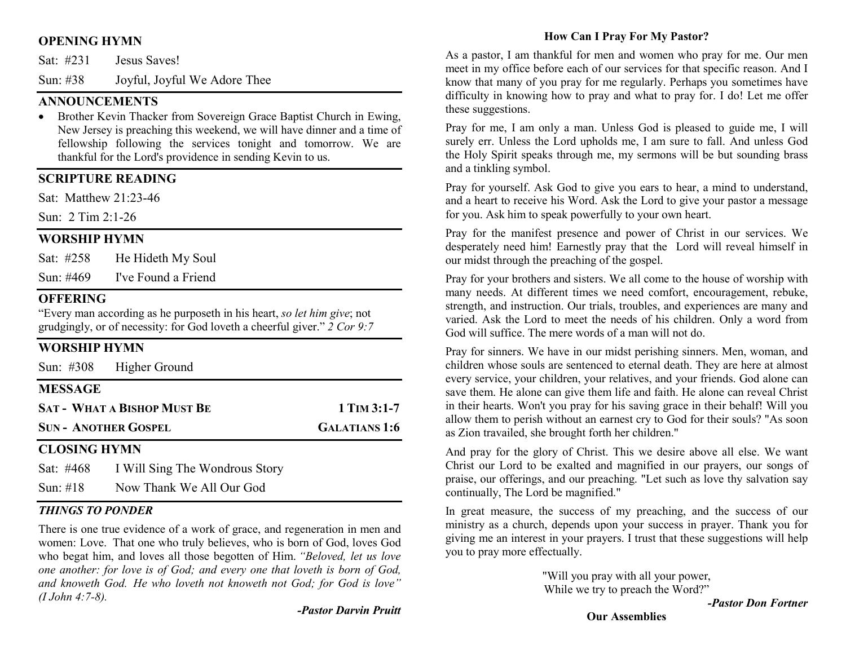# OPENING HYMN

Sat: #231 Jesus Saves!

Sun: #38 Joyful, Joyful We Adore Thee

## **ANNOUNCEMENTS**

• Brother Kevin Thacker from Sovereign Grace Baptist Church in Ewing, New Jersey is preaching this weekend, we will have dinner and a time of fellowship following the services tonight and tomorrow. We are thankful for the Lord's providence in sending Kevin to us.

#### SCRIPTURE READING

Sat: Matthew 21:23-46

Sun: 2 Tim 2:1-26

## WORSHIP HYMN

Sat: #258 He Hideth My Soul

Sun: #469 I've Found a Friend

## **OFFERING**

"Every man according as he purposeth in his heart, so let him give; not grudgingly, or of necessity: for God loveth a cheerful giver." 2 Cor 9:7

## WORSHIP HYMN

Sun: #308 Higher Ground

# MESSAGE

| <b>SAT - WHAT A BISHOP MUST BE</b> | 1 TIM $3:1-7$ |
|------------------------------------|---------------|
| <b>SUN- ANOTHER GOSPEL</b>         | GALATIANS 1:6 |

#### CLOSING HYMN

| Sat: #468   | I Will Sing The Wondrous Story |
|-------------|--------------------------------|
| Sun: $\#18$ | Now Thank We All Our God       |

#### THINGS TO PONDER

There is one true evidence of a work of grace, and regeneration in men and women: Love. That one who truly believes, who is born of God, loves God who begat him, and loves all those begotten of Him. "Beloved, let us love one another: for love is of God; and every one that loveth is born of God, and knoweth God. He who loveth not knoweth not God; for God is love" (I John 4:7-8).

#### How Can I Pray For My Pastor?

As a pastor, I am thankful for men and women who pray for me. Our men meet in my office before each of our services for that specific reason. And I know that many of you pray for me regularly. Perhaps you sometimes have difficulty in knowing how to pray and what to pray for. I do! Let me offer these suggestions.

Pray for me, I am only a man. Unless God is pleased to guide me, I will surely err. Unless the Lord upholds me, I am sure to fall. And unless God the Holy Spirit speaks through me, my sermons will be but sounding brass and a tinkling symbol.

Pray for yourself. Ask God to give you ears to hear, a mind to understand, and a heart to receive his Word. Ask the Lord to give your pastor a message for you. Ask him to speak powerfully to your own heart.

Pray for the manifest presence and power of Christ in our services. We desperately need him! Earnestly pray that the Lord will reveal himself in our midst through the preaching of the gospel.

Pray for your brothers and sisters. We all come to the house of worship with many needs. At different times we need comfort, encouragement, rebuke, strength, and instruction. Our trials, troubles, and experiences are many and varied. Ask the Lord to meet the needs of his children. Only a word from God will suffice. The mere words of a man will not do.

Pray for sinners. We have in our midst perishing sinners. Men, woman, and children whose souls are sentenced to eternal death. They are here at almost every service, your children, your relatives, and your friends. God alone can save them. He alone can give them life and faith. He alone can reveal Christ in their hearts. Won't you pray for his saving grace in their behalf! Will you allow them to perish without an earnest cry to God for their souls? "As soon as Zion travailed, she brought forth her children."

And pray for the glory of Christ. This we desire above all else. We want Christ our Lord to be exalted and magnified in our prayers, our songs of praise, our offerings, and our preaching. "Let such as love thy salvation say continually, The Lord be magnified."

In great measure, the success of my preaching, and the success of our ministry as a church, depends upon your success in prayer. Thank you for giving me an interest in your prayers. I trust that these suggestions will help you to pray more effectually.

> "Will you pray with all your power, While we try to preach the Word?"

-Pastor Don Fortner

Our Assemblies